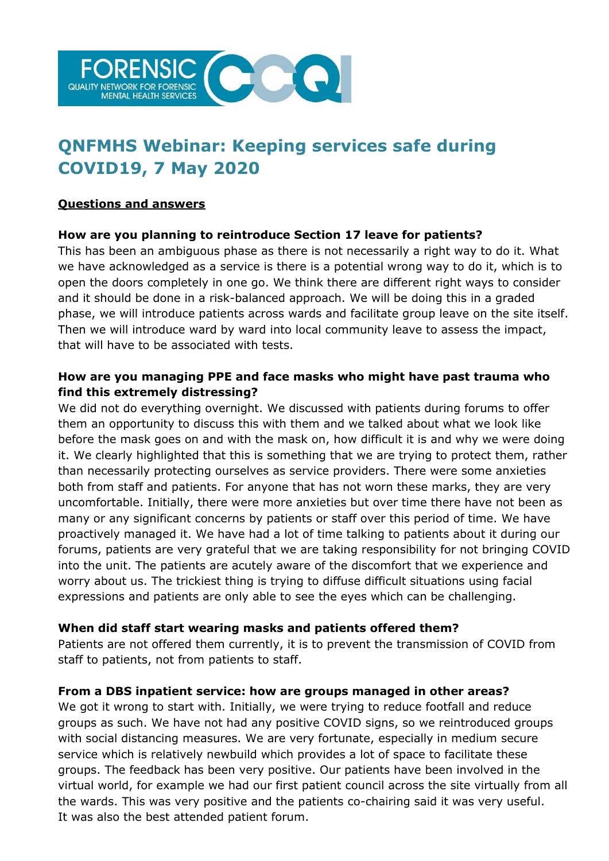

# **QNFMHS Webinar: Keeping services safe during COVID19, 7 May 2020**

#### **Questions and answers**

### **How are you planning to reintroduce Section 17 leave for patients?**

This has been an ambiguous phase as there is not necessarily a right way to do it. What we have acknowledged as a service is there is a potential wrong way to do it, which is to open the doors completely in one go. We think there are different right ways to consider and it should be done in a risk-balanced approach. We will be doing this in a graded phase, we will introduce patients across wards and facilitate group leave on the site itself. Then we will introduce ward by ward into local community leave to assess the impact, that will have to be associated with tests.

# **How are you managing PPE and face masks who might have past trauma who find this extremely distressing?**

We did not do everything overnight. We discussed with patients during forums to offer them an opportunity to discuss this with them and we talked about what we look like before the mask goes on and with the mask on, how difficult it is and why we were doing it. We clearly highlighted that this is something that we are trying to protect them, rather than necessarily protecting ourselves as service providers. There were some anxieties both from staff and patients. For anyone that has not worn these marks, they are very uncomfortable. Initially, there were more anxieties but over time there have not been as many or any significant concerns by patients or staff over this period of time. We have proactively managed it. We have had a lot of time talking to patients about it during our forums, patients are very grateful that we are taking responsibility for not bringing COVID into the unit. The patients are acutely aware of the discomfort that we experience and worry about us. The trickiest thing is trying to diffuse difficult situations using facial expressions and patients are only able to see the eyes which can be challenging.

#### **When did staff start wearing masks and patients offered them?**

Patients are not offered them currently, it is to prevent the transmission of COVID from staff to patients, not from patients to staff.

#### **From a DBS inpatient service: how are groups managed in other areas?**

We got it wrong to start with. Initially, we were trying to reduce footfall and reduce groups as such. We have not had any positive COVID signs, so we reintroduced groups with social distancing measures. We are very fortunate, especially in medium secure service which is relatively newbuild which provides a lot of space to facilitate these groups. The feedback has been very positive. Our patients have been involved in the virtual world, for example we had our first patient council across the site virtually from all the wards. This was very positive and the patients co-chairing said it was very useful. It was also the best attended patient forum.